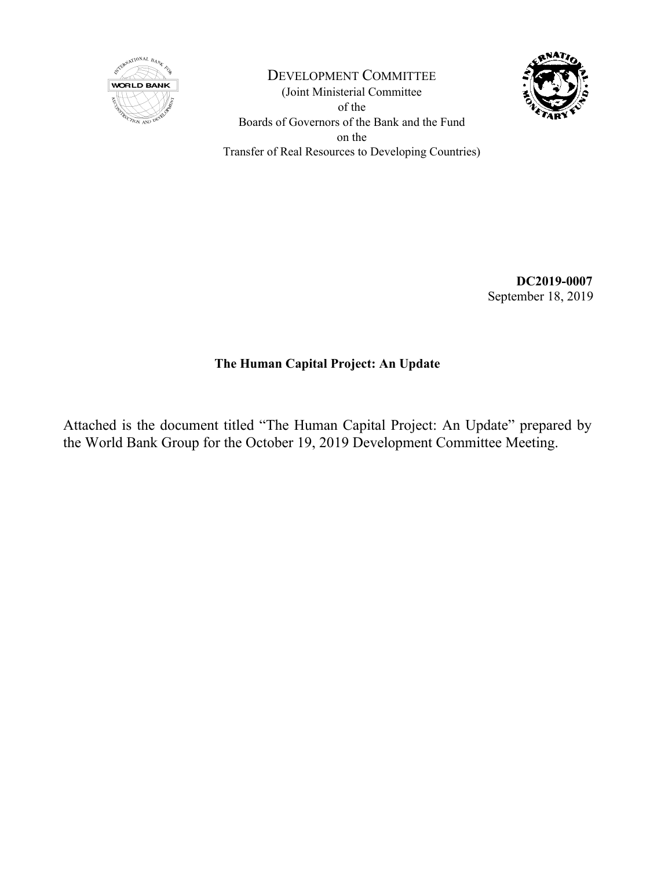

DEVELOPMENT COMMITTEE (Joint Ministerial Committee of the Boards of Governors of the Bank and the Fund on the Transfer of Real Resources to Developing Countries)



**DC2019-0007** September 18, 2019

## **The Human Capital Project: An Update**

Attached is the document titled "The Human Capital Project: An Update" prepared by the World Bank Group for the October 19, 2019 Development Committee Meeting.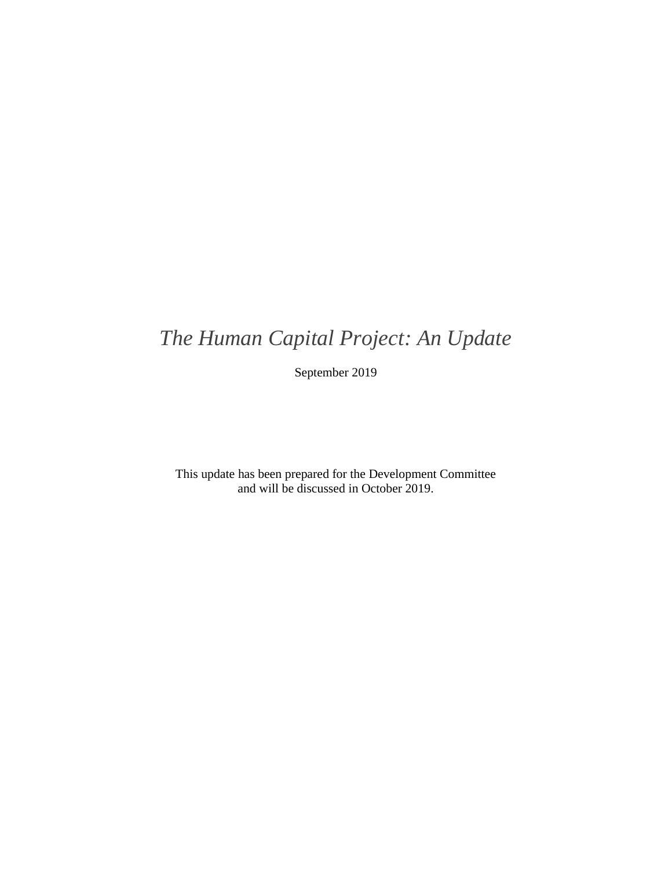# *The Human Capital Project: An Update*

September 2019

This update has been prepared for the Development Committee and will be discussed in October 2019.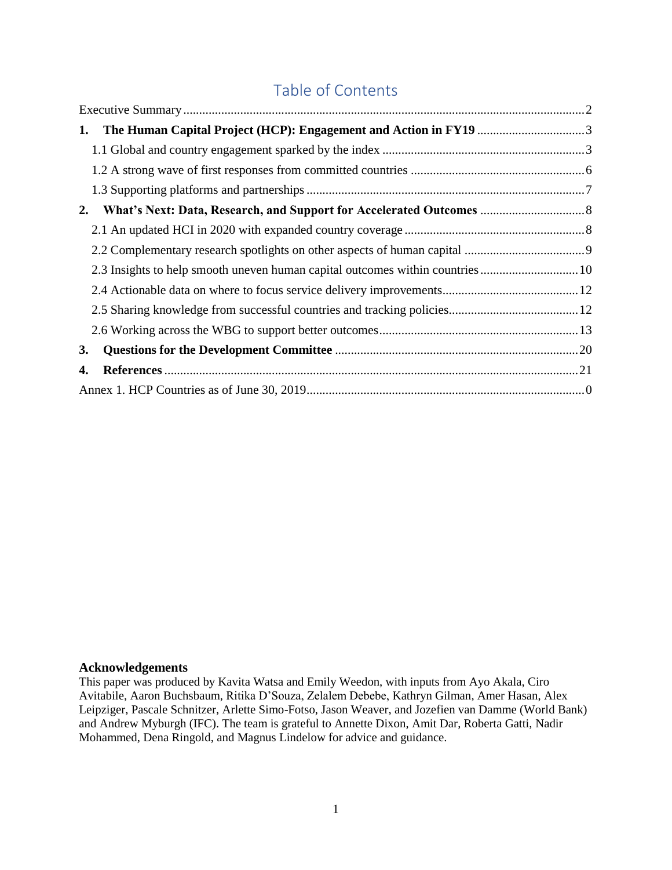# Table of Contents

| The Human Capital Project (HCP): Engagement and Action in FY19 3<br>1. |  |
|------------------------------------------------------------------------|--|
|                                                                        |  |
|                                                                        |  |
|                                                                        |  |
| 2.                                                                     |  |
|                                                                        |  |
|                                                                        |  |
|                                                                        |  |
|                                                                        |  |
|                                                                        |  |
|                                                                        |  |
| <b>3.</b>                                                              |  |
| 4.                                                                     |  |
|                                                                        |  |

### **Acknowledgements**

This paper was produced by Kavita Watsa and Emily Weedon, with inputs from Ayo Akala, Ciro Avitabile, Aaron Buchsbaum, Ritika D'Souza, Zelalem Debebe, Kathryn Gilman, Amer Hasan, Alex Leipziger, Pascale Schnitzer, Arlette Simo-Fotso, Jason Weaver, and Jozefien van Damme (World Bank) and Andrew Myburgh (IFC). The team is grateful to Annette Dixon, Amit Dar, Roberta Gatti, Nadir Mohammed, Dena Ringold, and Magnus Lindelow for advice and guidance.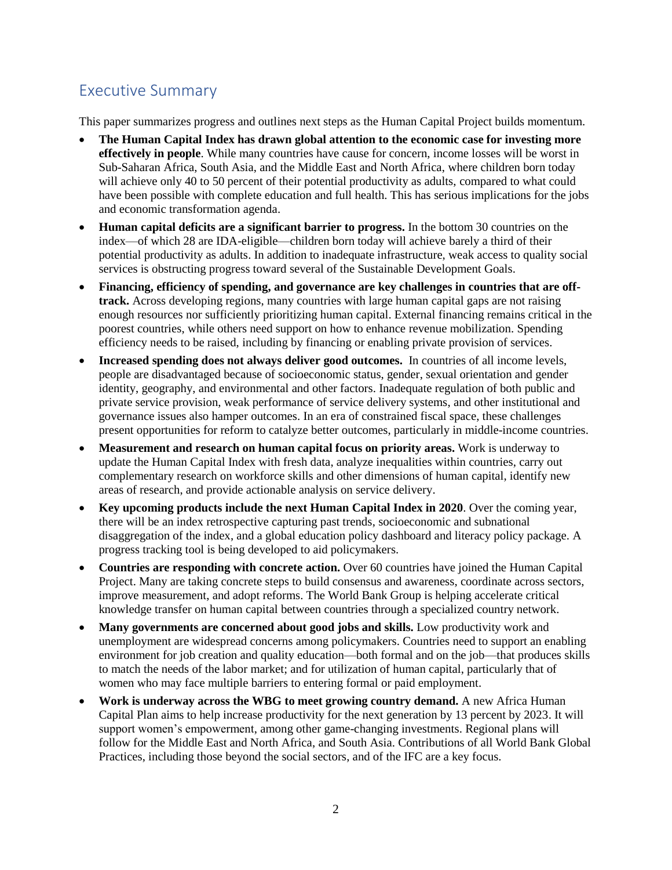# <span id="page-4-0"></span>Executive Summary

This paper summarizes progress and outlines next steps as the Human Capital Project builds momentum.

- **The Human Capital Index has drawn global attention to the economic case for investing more effectively in people**. While many countries have cause for concern, income losses will be worst in Sub-Saharan Africa, South Asia, and the Middle East and North Africa, where children born today will achieve only 40 to 50 percent of their potential productivity as adults, compared to what could have been possible with complete education and full health. This has serious implications for the jobs and economic transformation agenda.
- **Human capital deficits are a significant barrier to progress.** In the bottom 30 countries on the index—of which 28 are IDA-eligible—children born today will achieve barely a third of their potential productivity as adults. In addition to inadequate infrastructure, weak access to quality social services is obstructing progress toward several of the Sustainable Development Goals.
- **Financing, efficiency of spending, and governance are key challenges in countries that are offtrack.** Across developing regions, many countries with large human capital gaps are not raising enough resources nor sufficiently prioritizing human capital. External financing remains critical in the poorest countries, while others need support on how to enhance revenue mobilization. Spending efficiency needs to be raised, including by financing or enabling private provision of services.
- **Increased spending does not always deliver good outcomes.** In countries of all income levels, people are disadvantaged because of socioeconomic status, gender, sexual orientation and gender identity, geography, and environmental and other factors. Inadequate regulation of both public and private service provision, weak performance of service delivery systems, and other institutional and governance issues also hamper outcomes. In an era of constrained fiscal space, these challenges present opportunities for reform to catalyze better outcomes, particularly in middle-income countries.
- **Measurement and research on human capital focus on priority areas.** Work is underway to update the Human Capital Index with fresh data, analyze inequalities within countries, carry out complementary research on workforce skills and other dimensions of human capital, identify new areas of research, and provide actionable analysis on service delivery.
- **Key upcoming products include the next Human Capital Index in 2020**. Over the coming year, there will be an index retrospective capturing past trends, socioeconomic and subnational disaggregation of the index, and a global education policy dashboard and literacy policy package. A progress tracking tool is being developed to aid policymakers.
- **Countries are responding with concrete action.** Over 60 countries have joined the Human Capital Project. Many are taking concrete steps to build consensus and awareness, coordinate across sectors, improve measurement, and adopt reforms. The World Bank Group is helping accelerate critical knowledge transfer on human capital between countries through a specialized country network.
- **Many governments are concerned about good jobs and skills.** Low productivity work and unemployment are widespread concerns among policymakers. Countries need to support an enabling environment for job creation and quality education—both formal and on the job—that produces skills to match the needs of the labor market; and for utilization of human capital, particularly that of women who may face multiple barriers to entering formal or paid employment.
- **Work is underway across the WBG to meet growing country demand.** A new Africa Human Capital Plan aims to help increase productivity for the next generation by 13 percent by 2023. It will support women's empowerment, among other game-changing investments. Regional plans will follow for the Middle East and North Africa, and South Asia. Contributions of all World Bank Global Practices, including those beyond the social sectors, and of the IFC are a key focus.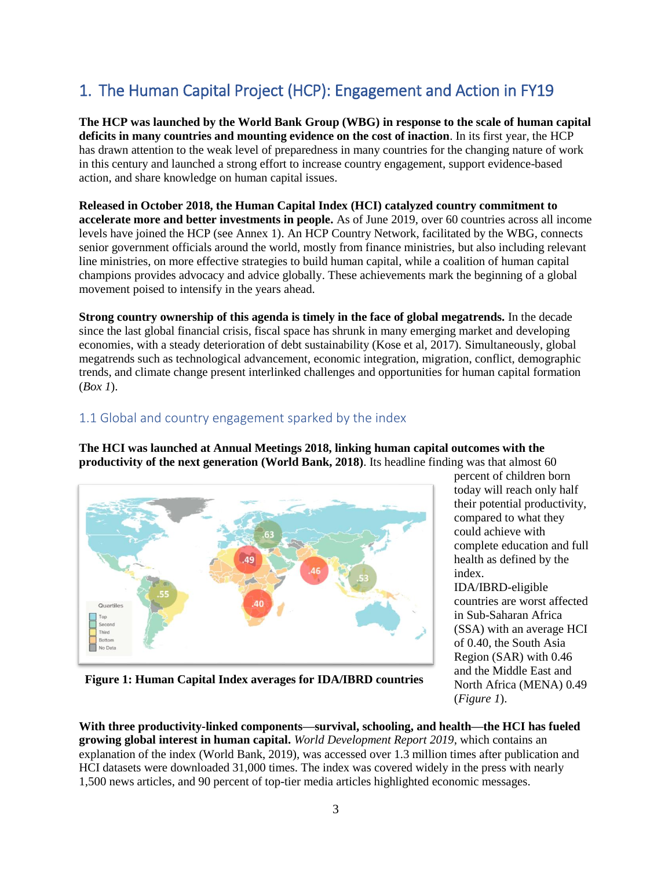# <span id="page-5-0"></span>1. The Human Capital Project (HCP): Engagement and Action in FY19

**The HCP was launched by the World Bank Group (WBG) in response to the scale of human capital deficits in many countries and mounting evidence on the cost of inaction**. In its first year, the HCP has drawn attention to the weak level of preparedness in many countries for the changing nature of work in this century and launched a strong effort to increase country engagement, support evidence-based action, and share knowledge on human capital issues.

**Released in October 2018, the Human Capital Index (HCI) catalyzed country commitment to accelerate more and better investments in people.** As of June 2019, over 60 countries across all income levels have joined the HCP (see Annex 1). An HCP Country Network, facilitated by the WBG, connects senior government officials around the world, mostly from finance ministries, but also including relevant line ministries, on more effective strategies to build human capital, while a coalition of human capital champions provides advocacy and advice globally. These achievements mark the beginning of a global movement poised to intensify in the years ahead.

**Strong country ownership of this agenda is timely in the face of global megatrends.** In the decade since the last global financial crisis, fiscal space has shrunk in many emerging market and developing economies, with a steady deterioration of debt sustainability (Kose et al, 2017). Simultaneously, global megatrends such as technological advancement, economic integration, migration, conflict, demographic trends, and climate change present interlinked challenges and opportunities for human capital formation (*Box 1*).

## <span id="page-5-1"></span>1.1 Global and country engagement sparked by the index

**The HCI was launched at Annual Meetings 2018, linking human capital outcomes with the productivity of the next generation (World Bank, 2018)**. Its headline finding was that almost 60



percent of children born today will reach only half their potential productivity, compared to what they could achieve with complete education and full health as defined by the index.

IDA/IBRD-eligible countries are worst affected in Sub-Saharan Africa (SSA) with an average HCI of 0.40, the South Asia Region (SAR) with 0.46 and the Middle East and North Africa (MENA) 0.49 (*Figure 1*).

**Figure 1: Human Capital Index averages for IDA/IBRD countries**

**With three productivity-linked components—survival, schooling, and health—the HCI has fueled growing global interest in human capital.** *World Development Report 2019*, which contains an explanation of the index (World Bank, 2019), was accessed over 1.3 million times after publication and HCI datasets were downloaded 31,000 times. The index was covered widely in the press with nearly 1,500 news articles, and 90 percent of top-tier media articles highlighted economic messages.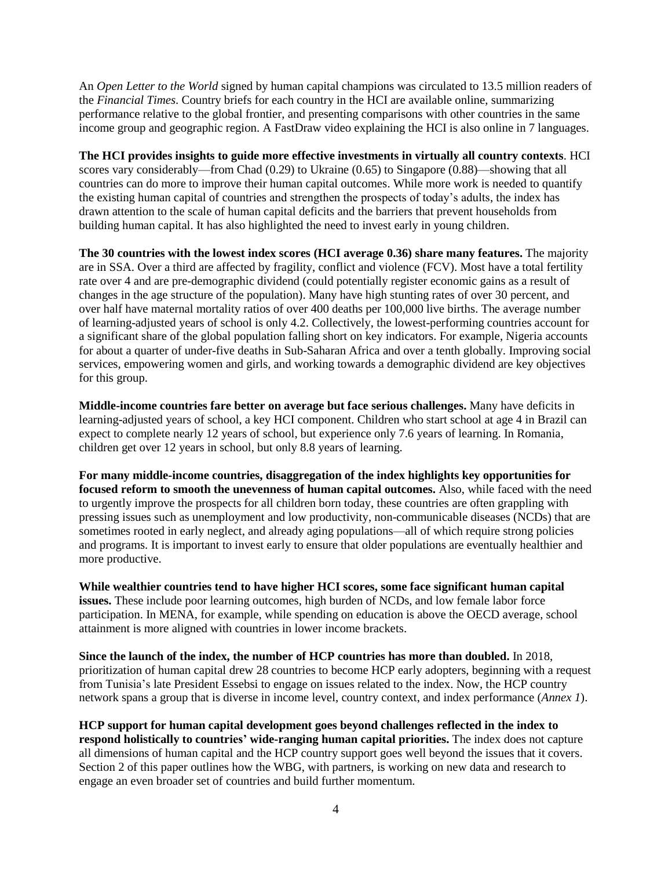An *Open Letter to the World* signed by human capital champions was circulated to 13.5 million readers of the *Financial Times*. Country briefs for each country in the HCI are available online, summarizing performance relative to the global frontier, and presenting comparisons with other countries in the same income group and geographic region. A FastDraw video explaining the HCI is also online in 7 languages.

**The HCI provides insights to guide more effective investments in virtually all country contexts**. HCI scores vary considerably—from Chad (0.29) to Ukraine (0.65) to Singapore (0.88)—showing that all countries can do more to improve their human capital outcomes. While more work is needed to quantify the existing human capital of countries and strengthen the prospects of today's adults, the index has drawn attention to the scale of human capital deficits and the barriers that prevent households from building human capital. It has also highlighted the need to invest early in young children.

**The 30 countries with the lowest index scores (HCI average 0.36) share many features.** The majority are in SSA. Over a third are affected by fragility, conflict and violence (FCV). Most have a total fertility rate over 4 and are pre-demographic dividend (could potentially register economic gains as a result of changes in the age structure of the population). Many have high stunting rates of over 30 percent, and over half have maternal mortality ratios of over 400 deaths per 100,000 live births. The average number of learning-adjusted years of school is only 4.2. Collectively, the lowest-performing countries account for a significant share of the global population falling short on key indicators. For example, Nigeria accounts for about a quarter of under-five deaths in Sub-Saharan Africa and over a tenth globally. Improving social services, empowering women and girls, and working towards a demographic dividend are key objectives for this group.

**Middle-income countries fare better on average but face serious challenges.** Many have deficits in learning-adjusted years of school, a key HCI component. Children who start school at age 4 in Brazil can expect to complete nearly 12 years of school, but experience only 7.6 years of learning. In Romania, children get over 12 years in school, but only 8.8 years of learning.

**For many middle-income countries, disaggregation of the index highlights key opportunities for focused reform to smooth the unevenness of human capital outcomes.** Also, while faced with the need to urgently improve the prospects for all children born today, these countries are often grappling with pressing issues such as unemployment and low productivity, non-communicable diseases (NCDs) that are sometimes rooted in early neglect, and already aging populations—all of which require strong policies and programs. It is important to invest early to ensure that older populations are eventually healthier and more productive.

**While wealthier countries tend to have higher HCI scores, some face significant human capital issues.** These include poor learning outcomes, high burden of NCDs, and low female labor force participation. In MENA, for example, while spending on education is above the OECD average, school attainment is more aligned with countries in lower income brackets.

**Since the launch of the index, the number of HCP countries has more than doubled.** In 2018, prioritization of human capital drew 28 countries to become HCP early adopters, beginning with a request from Tunisia's late President Essebsi to engage on issues related to the index. Now, the HCP country network spans a group that is diverse in income level, country context, and index performance (*Annex 1*).

**HCP support for human capital development goes beyond challenges reflected in the index to respond holistically to countries' wide-ranging human capital priorities.** The index does not capture all dimensions of human capital and the HCP country support goes well beyond the issues that it covers. Section 2 of this paper outlines how the WBG, with partners, is working on new data and research to engage an even broader set of countries and build further momentum.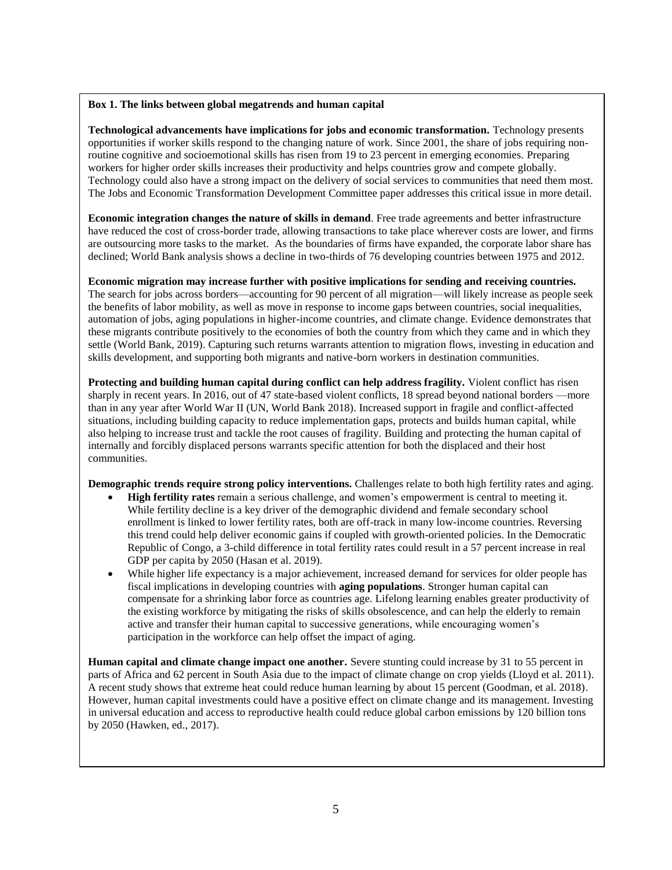#### **Box 1. The links between global megatrends and human capital**

**Technological advancements have implications for jobs and economic transformation.** Technology presents opportunities if worker skills respond to the changing nature of work. Since 2001, the share of jobs requiring nonroutine cognitive and socioemotional skills has risen from 19 to 23 percent in emerging economies. Preparing workers for higher order skills increases their productivity and helps countries grow and compete globally. Technology could also have a strong impact on the delivery of social services to communities that need them most. The Jobs and Economic Transformation Development Committee paper addresses this critical issue in more detail.

**Economic integration changes the nature of skills in demand**. Free trade agreements and better infrastructure have reduced the cost of cross-border trade, allowing transactions to take place wherever costs are lower, and firms are outsourcing more tasks to the market. As the boundaries of firms have expanded, the corporate labor share has declined; World Bank analysis shows a decline in two-thirds of 76 developing countries between 1975 and 2012.

#### **Economic migration may increase further with positive implications for sending and receiving countries.**

The search for jobs across borders—accounting for 90 percent of all migration—will likely increase as people seek the benefits of labor mobility, as well as move in response to income gaps between countries, social inequalities, automation of jobs, aging populations in higher-income countries, and climate change. Evidence demonstrates that these migrants contribute positively to the economies of both the country from which they came and in which they settle (World Bank, 2019). Capturing such returns warrants attention to migration flows, investing in education and skills development, and supporting both migrants and native-born workers in destination communities.

**Protecting and building human capital during conflict can help address fragility.** Violent conflict has risen sharply in recent years. In 2016, out of 47 state-based violent conflicts, 18 spread beyond national borders —more than in any year after World War II (UN, World Bank 2018). Increased support in fragile and conflict-affected situations, including building capacity to reduce implementation gaps, protects and builds human capital, while also helping to increase trust and tackle the root causes of fragility. Building and protecting the human capital of internally and forcibly displaced persons warrants specific attention for both the displaced and their host communities.

**Demographic trends require strong policy interventions.** Challenges relate to both high fertility rates and aging.

- **High fertility rates** remain a serious challenge, and women's empowerment is central to meeting it. While fertility decline is a key driver of the demographic dividend and female secondary school enrollment is linked to lower fertility rates, both are off-track in many low-income countries. Reversing this trend could help deliver economic gains if coupled with growth-oriented policies. In the Democratic Republic of Congo, a 3-child difference in total fertility rates could result in a 57 percent increase in real GDP per capita by 2050 (Hasan et al. 2019).
- While higher life expectancy is a major achievement, increased demand for services for older people has fiscal implications in developing countries with **aging populations**. Stronger human capital can compensate for a shrinking labor force as countries age. Lifelong learning enables greater productivity of the existing workforce by mitigating the risks of skills obsolescence, and can help the elderly to remain active and transfer their human capital to successive generations, while encouraging women's participation in the workforce can help offset the impact of aging.

**Human capital and climate change impact one another.** Severe stunting could increase by 31 to 55 percent in parts of Africa and 62 percent in South Asia due to the impact of climate change on crop yields (Lloyd et al. 2011). A recent study shows that extreme heat could reduce human learning by about 15 percent (Goodman, et al. 2018). However, human capital investments could have a positive effect on climate change and its management. Investing in universal education and access to reproductive health could reduce global carbon emissions by 120 billion tons by 2050 (Hawken, ed., 2017).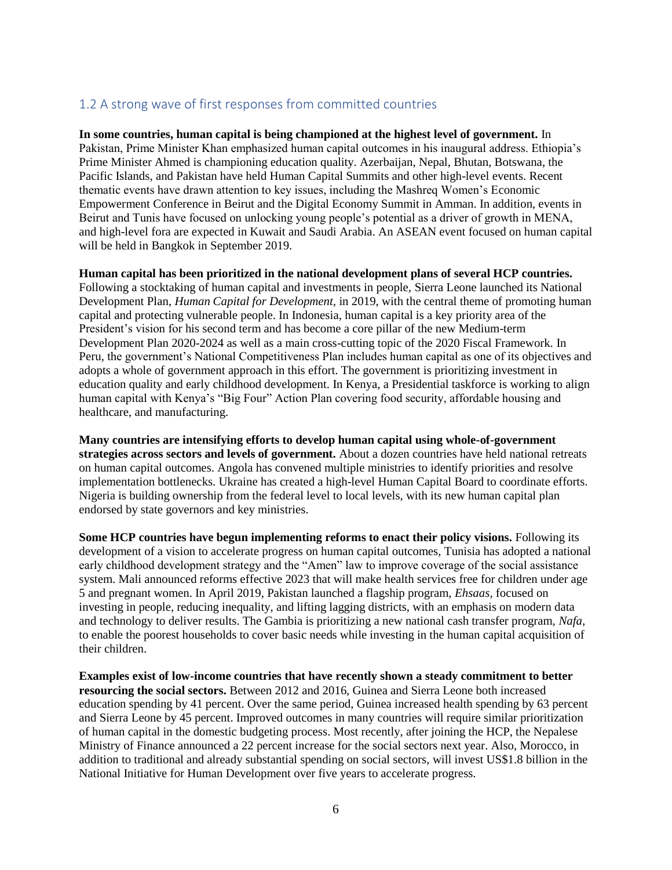## <span id="page-8-0"></span>1.2 A strong wave of first responses from committed countries

**In some countries, human capital is being championed at the highest level of government.** In Pakistan, Prime Minister Khan emphasized human capital outcomes in his inaugural address. Ethiopia's Prime Minister Ahmed is championing education quality. Azerbaijan, Nepal, Bhutan, Botswana, the Pacific Islands, and Pakistan have held Human Capital Summits and other high-level events. Recent thematic events have drawn attention to key issues, including the Mashreq Women's Economic Empowerment Conference in Beirut and the Digital Economy Summit in Amman. In addition, events in Beirut and Tunis have focused on unlocking young people's potential as a driver of growth in MENA, and high-level fora are expected in Kuwait and Saudi Arabia. An ASEAN event focused on human capital will be held in Bangkok in September 2019.

#### **Human capital has been prioritized in the national development plans of several HCP countries.**

Following a stocktaking of human capital and investments in people, Sierra Leone launched its National Development Plan, *Human Capital for Development,* in 2019, with the central theme of promoting human capital and protecting vulnerable people. In Indonesia, human capital is a key priority area of the President's vision for his second term and has become a core pillar of the new Medium-term Development Plan 2020-2024 as well as a main cross-cutting topic of the 2020 Fiscal Framework. In Peru, the government's National Competitiveness Plan includes human capital as one of its objectives and adopts a whole of government approach in this effort. The government is prioritizing investment in education quality and early childhood development. In Kenya, a Presidential taskforce is working to align human capital with Kenya's "Big Four" Action Plan covering food security, affordable housing and healthcare, and manufacturing.

**Many countries are intensifying efforts to develop human capital using whole-of-government strategies across sectors and levels of government.** About a dozen countries have held national retreats on human capital outcomes. Angola has convened multiple ministries to identify priorities and resolve implementation bottlenecks. Ukraine has created a high-level Human Capital Board to coordinate efforts. Nigeria is building ownership from the federal level to local levels, with its new human capital plan endorsed by state governors and key ministries.

**Some HCP countries have begun implementing reforms to enact their policy visions.** Following its development of a vision to accelerate progress on human capital outcomes, Tunisia has adopted a national early childhood development strategy and the "Amen" law to improve coverage of the social assistance system. Mali announced reforms effective 2023 that will make health services free for children under age 5 and pregnant women. In April 2019, Pakistan launched a flagship program, *Ehsaas,* focused on investing in people, reducing inequality, and lifting lagging districts, with an emphasis on modern data and technology to deliver results. The Gambia is prioritizing a new national cash transfer program, *Nafa,* to enable the poorest households to cover basic needs while investing in the human capital acquisition of their children.

**Examples exist of low-income countries that have recently shown a steady commitment to better resourcing the social sectors.** Between 2012 and 2016, Guinea and Sierra Leone both increased education spending by 41 percent. Over the same period, Guinea increased health spending by 63 percent and Sierra Leone by 45 percent. Improved outcomes in many countries will require similar prioritization of human capital in the domestic budgeting process. Most recently, after joining the HCP, the Nepalese Ministry of Finance announced a 22 percent increase for the social sectors next year. Also, Morocco, in addition to traditional and already substantial spending on social sectors, will invest US\$1.8 billion in the National Initiative for Human Development over five years to accelerate progress.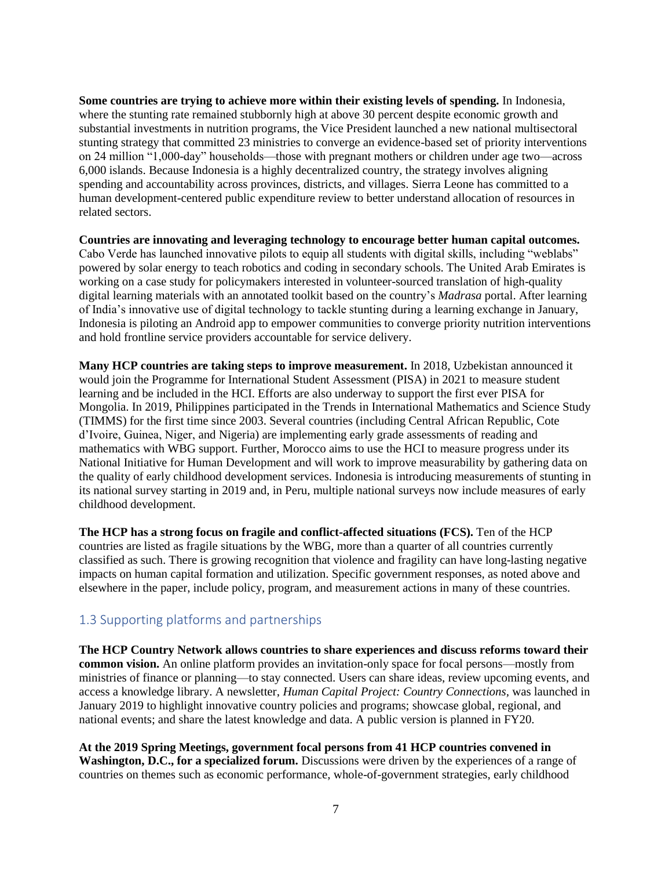**Some countries are trying to achieve more within their existing levels of spending.** In Indonesia, where the stunting rate remained stubbornly high at above 30 percent despite economic growth and substantial investments in nutrition programs, the Vice President launched a new national multisectoral stunting strategy that committed 23 ministries to converge an evidence-based set of priority interventions on 24 million "1,000-day" households—those with pregnant mothers or children under age two—across 6,000 islands. Because Indonesia is a highly decentralized country, the strategy involves aligning spending and accountability across provinces, districts, and villages*.* Sierra Leone has committed to a human development-centered public expenditure review to better understand allocation of resources in related sectors.

**Countries are innovating and leveraging technology to encourage better human capital outcomes.** Cabo Verde has launched innovative pilots to equip all students with digital skills, including "weblabs" powered by solar energy to teach robotics and coding in secondary schools. The United Arab Emirates is working on a case study for policymakers interested in volunteer-sourced translation of high-quality digital learning materials with an annotated toolkit based on the country's *Madrasa* portal. After learning of India's innovative use of digital technology to tackle stunting during a learning exchange in January, Indonesia is piloting an Android app to empower communities to converge priority nutrition interventions and hold frontline service providers accountable for service delivery.

**Many HCP countries are taking steps to improve measurement.** In 2018, Uzbekistan announced it would join the Programme for International Student Assessment (PISA) in 2021 to measure student learning and be included in the HCI. Efforts are also underway to support the first ever PISA for Mongolia. In 2019, Philippines participated in the Trends in International Mathematics and Science Study (TIMMS) for the first time since 2003. Several countries (including Central African Republic, Cote d'Ivoire, Guinea, Niger, and Nigeria) are implementing early grade assessments of reading and mathematics with WBG support. Further, Morocco aims to use the HCI to measure progress under its National Initiative for Human Development and will work to improve measurability by gathering data on the quality of early childhood development services. Indonesia is introducing measurements of stunting in its national survey starting in 2019 and, in Peru, multiple national surveys now include measures of early childhood development.

**The HCP has a strong focus on fragile and conflict-affected situations (FCS).** Ten of the HCP countries are listed as fragile situations by the WBG, more than a quarter of all countries currently classified as such. There is growing recognition that violence and fragility can have long-lasting negative impacts on human capital formation and utilization. Specific government responses, as noted above and elsewhere in the paper, include policy, program, and measurement actions in many of these countries.

## <span id="page-9-0"></span>1.3 Supporting platforms and partnerships

**The HCP Country Network allows countries to share experiences and discuss reforms toward their common vision.** An online platform provides an invitation-only space for focal persons—mostly from ministries of finance or planning—to stay connected. Users can share ideas, review upcoming events, and access a knowledge library. A newsletter, *Human Capital Project: Country Connections,* was launched in January 2019 to highlight innovative country policies and programs; showcase global, regional, and national events; and share the latest knowledge and data. A public version is planned in FY20.

**At the 2019 Spring Meetings, government focal persons from 41 HCP countries convened in Washington, D.C., for a specialized forum.** Discussions were driven by the experiences of a range of countries on themes such as economic performance, whole-of-government strategies, early childhood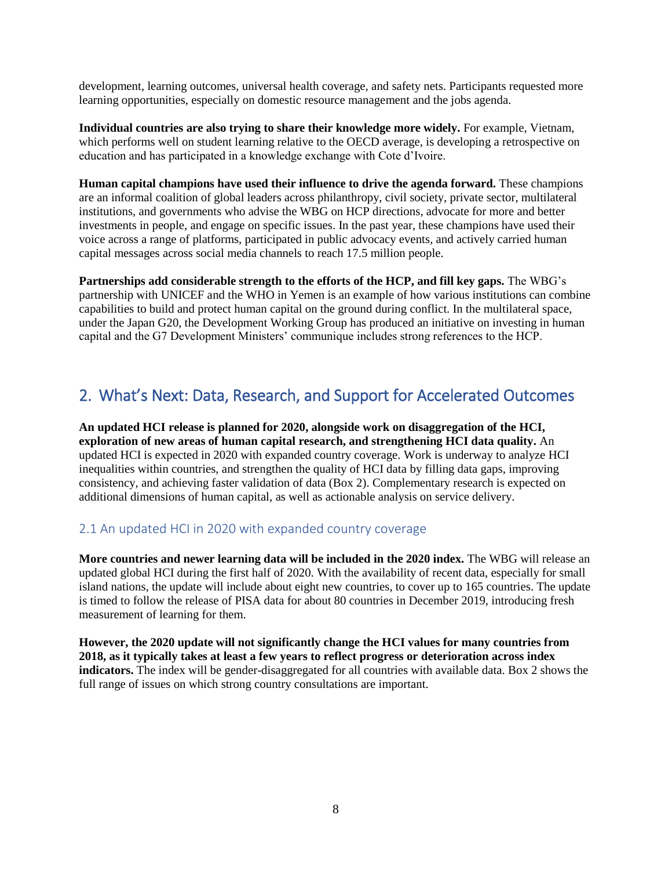development, learning outcomes, universal health coverage, and safety nets. Participants requested more learning opportunities, especially on domestic resource management and the jobs agenda.

**Individual countries are also trying to share their knowledge more widely.** For example, Vietnam, which performs well on student learning relative to the OECD average, is developing a retrospective on education and has participated in a knowledge exchange with Cote d'Ivoire.

**Human capital champions have used their influence to drive the agenda forward.** These champions are an informal coalition of global leaders across philanthropy, civil society, private sector, multilateral institutions, and governments who advise the WBG on HCP directions, advocate for more and better investments in people, and engage on specific issues. In the past year, these champions have used their voice across a range of platforms, participated in public advocacy events, and actively carried human capital messages across social media channels to reach 17.5 million people.

**Partnerships add considerable strength to the efforts of the HCP, and fill key gaps.** The WBG's partnership with UNICEF and the WHO in Yemen is an example of how various institutions can combine capabilities to build and protect human capital on the ground during conflict. In the multilateral space, under the Japan G20, the Development Working Group has produced an initiative on investing in human capital and the G7 Development Ministers' communique includes strong references to the HCP.

# <span id="page-10-0"></span>2. What's Next: Data, Research, and Support for Accelerated Outcomes

**An updated HCI release is planned for 2020, alongside work on disaggregation of the HCI, exploration of new areas of human capital research, and strengthening HCI data quality.** An updated HCI is expected in 2020 with expanded country coverage. Work is underway to analyze HCI inequalities within countries, and strengthen the quality of HCI data by filling data gaps, improving consistency, and achieving faster validation of data (Box 2). Complementary research is expected on additional dimensions of human capital, as well as actionable analysis on service delivery.

## <span id="page-10-1"></span>2.1 An updated HCI in 2020 with expanded country coverage

**More countries and newer learning data will be included in the 2020 index.** The WBG will release an updated global HCI during the first half of 2020. With the availability of recent data, especially for small island nations, the update will include about eight new countries, to cover up to 165 countries. The update is timed to follow the release of PISA data for about 80 countries in December 2019, introducing fresh measurement of learning for them.

**However, the 2020 update will not significantly change the HCI values for many countries from 2018, as it typically takes at least a few years to reflect progress or deterioration across index indicators.** The index will be gender-disaggregated for all countries with available data. Box 2 shows the full range of issues on which strong country consultations are important.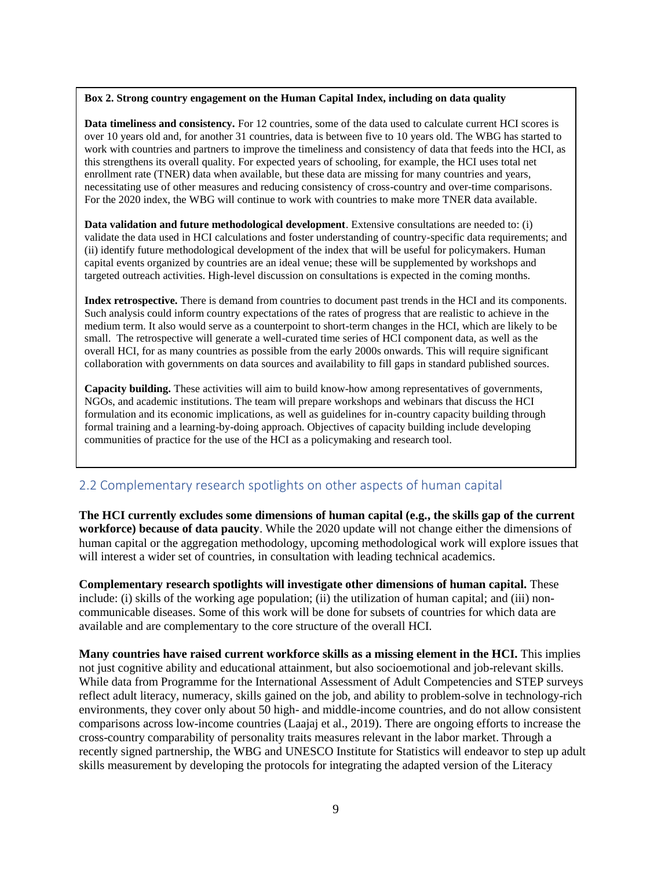#### **Box 2. Strong country engagement on the Human Capital Index, including on data quality**

**Data timeliness and consistency.** For 12 countries, some of the data used to calculate current HCI scores is over 10 years old and, for another 31 countries, data is between five to 10 years old. The WBG has started to work with countries and partners to improve the timeliness and consistency of data that feeds into the HCI, as this strengthens its overall quality. For expected years of schooling, for example, the HCI uses total net enrollment rate (TNER) data when available, but these data are missing for many countries and years, necessitating use of other measures and reducing consistency of cross-country and over-time comparisons. For the 2020 index, the WBG will continue to work with countries to make more TNER data available.

**Data validation and future methodological development**. Extensive consultations are needed to: (i) validate the data used in HCI calculations and foster understanding of country-specific data requirements; and (ii) identify future methodological development of the index that will be useful for policymakers. Human capital events organized by countries are an ideal venue; these will be supplemented by workshops and targeted outreach activities. High-level discussion on consultations is expected in the coming months.

**Index retrospective.** There is demand from countries to document past trends in the HCI and its components. Such analysis could inform country expectations of the rates of progress that are realistic to achieve in the medium term. It also would serve as a counterpoint to short-term changes in the HCI, which are likely to be small. The retrospective will generate a well-curated time series of HCI component data, as well as the overall HCI, for as many countries as possible from the early 2000s onwards. This will require significant collaboration with governments on data sources and availability to fill gaps in standard published sources.

**Capacity building.** These activities will aim to build know-how among representatives of governments, NGOs, and academic institutions. The team will prepare workshops and webinars that discuss the HCI formulation and its economic implications, as well as guidelines for in-country capacity building through formal training and a learning-by-doing approach. Objectives of capacity building include developing communities of practice for the use of the HCI as a policymaking and research tool.

## <span id="page-11-0"></span>2.2 Complementary research spotlights on other aspects of human capital

**The HCI currently excludes some dimensions of human capital (e.g., the skills gap of the current workforce) because of data paucity**. While the 2020 update will not change either the dimensions of human capital or the aggregation methodology, upcoming methodological work will explore issues that will interest a wider set of countries, in consultation with leading technical academics.

**Complementary research spotlights will investigate other dimensions of human capital.** These include: (i) skills of the working age population; (ii) the utilization of human capital; and (iii) noncommunicable diseases. Some of this work will be done for subsets of countries for which data are available and are complementary to the core structure of the overall HCI.

**Many countries have raised current workforce skills as a missing element in the HCI.** This implies not just cognitive ability and educational attainment, but also socioemotional and job-relevant skills. While data from Programme for the International Assessment of Adult Competencies and STEP surveys reflect adult literacy, numeracy, skills gained on the job, and ability to problem-solve in technology-rich environments, they cover only about 50 high- and middle-income countries, and do not allow consistent comparisons across low-income countries (Laajaj et al., 2019). There are ongoing efforts to increase the cross-country comparability of personality traits measures relevant in the labor market. Through a recently signed partnership, the WBG and UNESCO Institute for Statistics will endeavor to step up adult skills measurement by developing the protocols for integrating the adapted version of the Literacy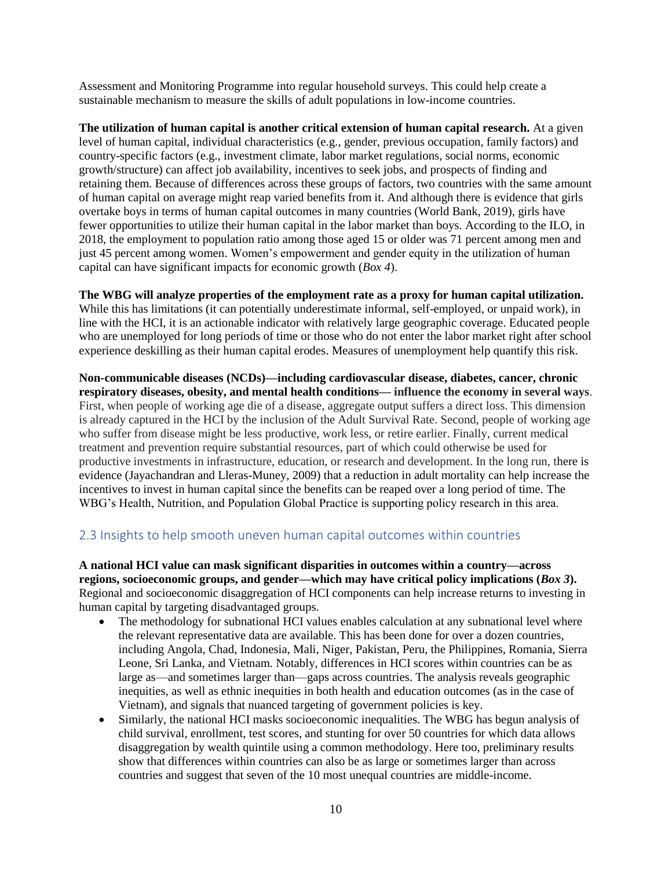Assessment and Monitoring Programme into regular household surveys. This could help create a sustainable mechanism to measure the skills of adult populations in low-income countries.

**The utilization of human capital is another critical extension of human capital research.** At a given level of human capital, individual characteristics (e.g., gender, previous occupation, family factors) and country-specific factors (e.g., investment climate, labor market regulations, social norms, economic growth/structure) can affect job availability, incentives to seek jobs, and prospects of finding and retaining them. Because of differences across these groups of factors, two countries with the same amount of human capital on average might reap varied benefits from it. And although there is evidence that girls overtake boys in terms of human capital outcomes in many countries (World Bank, 2019), girls have fewer opportunities to utilize their human capital in the labor market than boys. According to the ILO, in 2018, the employment to population ratio among those aged 15 or older was 71 percent among men and just 45 percent among women. Women's empowerment and gender equity in the utilization of human capital can have significant impacts for economic growth (*Box 4*).

#### **The WBG will analyze properties of the employment rate as a proxy for human capital utilization.**  While this has limitations (it can potentially underestimate informal, self-employed, or unpaid work), in

line with the HCI, it is an actionable indicator with relatively large geographic coverage. Educated people who are unemployed for long periods of time or those who do not enter the labor market right after school experience deskilling as their human capital erodes. Measures of unemployment help quantify this risk.

**Non-communicable diseases (NCDs)—including cardiovascular disease, diabetes, cancer, chronic respiratory diseases, obesity, and mental health conditions— influence the economy in several ways**. First, when people of working age die of a disease, aggregate output suffers a direct loss. This dimension is already captured in the HCI by the inclusion of the Adult Survival Rate. Second, people of working age who suffer from disease might be less productive, work less, or retire earlier. Finally, current medical treatment and prevention require substantial resources, part of which could otherwise be used for productive investments in infrastructure, education, or research and development. In the long run, there is evidence (Jayachandran and Lleras-Muney, 2009) that a reduction in adult mortality can help increase the incentives to invest in human capital since the benefits can be reaped over a long period of time. The WBG's Health, Nutrition, and Population Global Practice is supporting policy research in this area.

## <span id="page-12-0"></span>2.3 Insights to help smooth uneven human capital outcomes within countries

**A national HCI value can mask significant disparities in outcomes within a country—across regions, socioeconomic groups, and gender—which may have critical policy implications (***Box 3***).**  Regional and socioeconomic disaggregation of HCI components can help increase returns to investing in human capital by targeting disadvantaged groups.

- The methodology for subnational HCI values enables calculation at any subnational level where the relevant representative data are available. This has been done for over a dozen countries, including Angola, Chad, Indonesia, Mali, Niger, Pakistan, Peru, the Philippines, Romania, Sierra Leone, Sri Lanka, and Vietnam. Notably, differences in HCI scores within countries can be as large as—and sometimes larger than—gaps across countries. The analysis reveals geographic inequities, as well as ethnic inequities in both health and education outcomes (as in the case of Vietnam), and signals that nuanced targeting of government policies is key.
- Similarly, the national HCI masks socioeconomic inequalities. The WBG has begun analysis of child survival, enrollment, test scores, and stunting for over 50 countries for which data allows disaggregation by wealth quintile using a common methodology. Here too, preliminary results show that differences within countries can also be as large or sometimes larger than across countries and suggest that seven of the 10 most unequal countries are middle-income.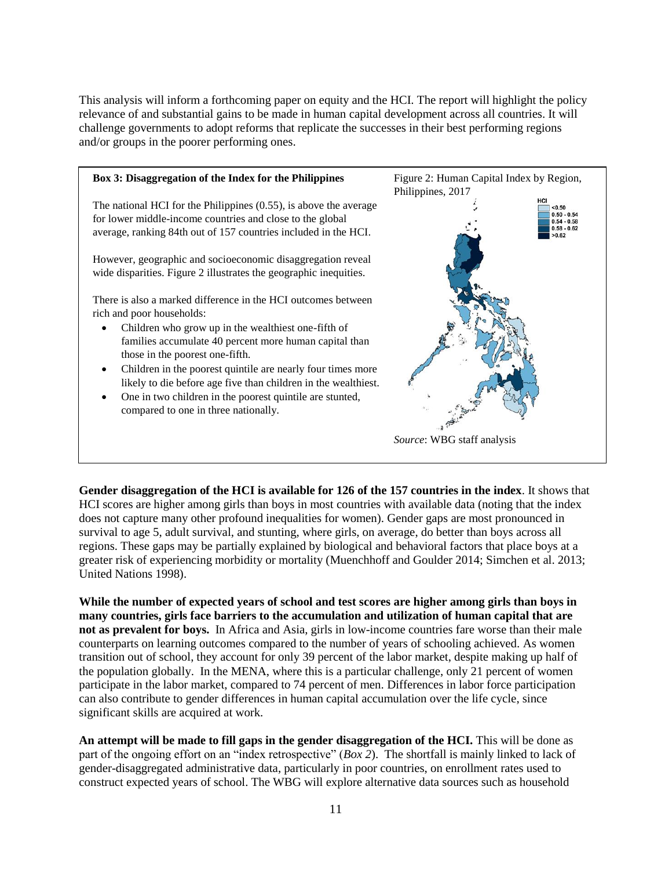This analysis will inform a forthcoming paper on equity and the HCI. The report will highlight the policy relevance of and substantial gains to be made in human capital development across all countries. It will challenge governments to adopt reforms that replicate the successes in their best performing regions and/or groups in the poorer performing ones.



**Gender disaggregation of the HCI is available for 126 of the 157 countries in the index**. It shows that HCI scores are higher among girls than boys in most countries with available data (noting that the index does not capture many other profound inequalities for women). Gender gaps are most pronounced in survival to age 5, adult survival, and stunting, where girls, on average, do better than boys across all regions. These gaps may be partially explained by biological and behavioral factors that place boys at a greater risk of experiencing morbidity or mortality (Muenchhoff and Goulder 2014; Simchen et al. 2013; United Nations 1998).

**While the number of expected years of school and test scores are higher among girls than boys in many countries, girls face barriers to the accumulation and utilization of human capital that are not as prevalent for boys.** In Africa and Asia, girls in low-income countries fare worse than their male counterparts on learning outcomes compared to the number of years of schooling achieved. As women transition out of school, they account for only 39 percent of the labor market, despite making up half of the population globally. In the MENA, where this is a particular challenge, only 21 percent of women participate in the labor market, compared to 74 percent of men. Differences in labor force participation can also contribute to gender differences in human capital accumulation over the life cycle, since significant skills are acquired at work.

An attempt will be made to fill gaps in the gender disaggregation of the HCI. This will be done as part of the ongoing effort on an "index retrospective" (*Box 2*). The shortfall is mainly linked to lack of gender-disaggregated administrative data, particularly in poor countries, on enrollment rates used to construct expected years of school. The WBG will explore alternative data sources such as household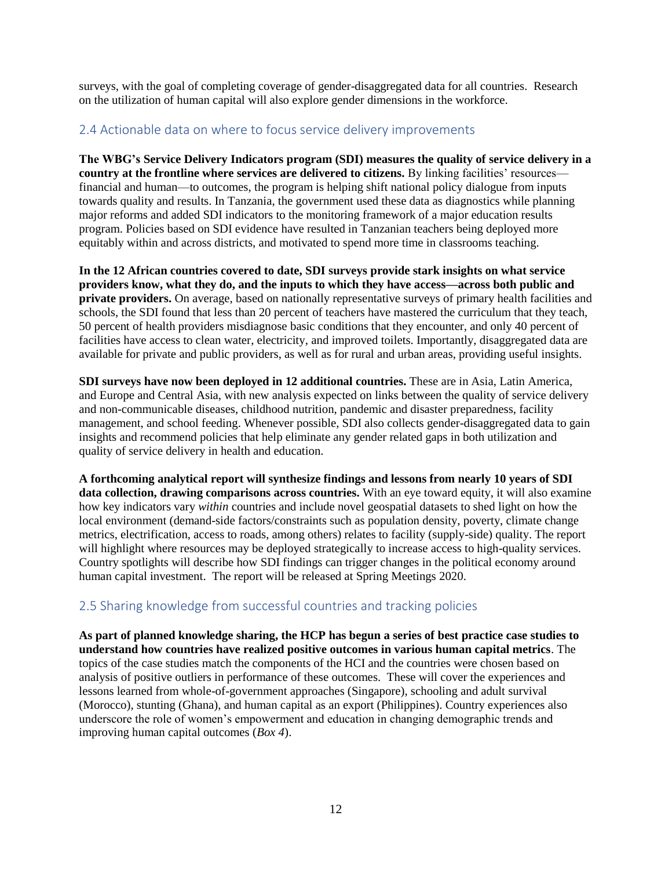surveys, with the goal of completing coverage of gender-disaggregated data for all countries. Research on the utilization of human capital will also explore gender dimensions in the workforce.

## <span id="page-14-0"></span>2.4 Actionable data on where to focus service delivery improvements

**The WBG's Service Delivery Indicators program (SDI) measures the quality of service delivery in a country at the frontline where services are delivered to citizens.** By linking facilities' resources financial and human—to outcomes, the program is helping shift national policy dialogue from inputs towards quality and results. In Tanzania, the government used these data as diagnostics while planning major reforms and added SDI indicators to the monitoring framework of a major education results program. Policies based on SDI evidence have resulted in Tanzanian teachers being deployed more equitably within and across districts, and motivated to spend more time in classrooms teaching.

**In the 12 African countries covered to date, SDI surveys provide stark insights on what service providers know, what they do, and the inputs to which they have access—across both public and private providers.** On average, based on nationally representative surveys of primary health facilities and schools, the SDI found that less than 20 percent of teachers have mastered the curriculum that they teach, 50 percent of health providers misdiagnose basic conditions that they encounter, and only 40 percent of facilities have access to clean water, electricity, and improved toilets. Importantly, disaggregated data are available for private and public providers, as well as for rural and urban areas, providing useful insights.

**SDI surveys have now been deployed in 12 additional countries.** These are in Asia, Latin America, and Europe and Central Asia, with new analysis expected on links between the quality of service delivery and non-communicable diseases, childhood nutrition, pandemic and disaster preparedness, facility management, and school feeding. Whenever possible, SDI also collects gender-disaggregated data to gain insights and recommend policies that help eliminate any gender related gaps in both utilization and quality of service delivery in health and education.

**A forthcoming analytical report will synthesize findings and lessons from nearly 10 years of SDI data collection, drawing comparisons across countries.** With an eye toward equity, it will also examine how key indicators vary *within* countries and include novel geospatial datasets to shed light on how the local environment (demand-side factors/constraints such as population density, poverty, climate change metrics, electrification, access to roads, among others) relates to facility (supply-side) quality. The report will highlight where resources may be deployed strategically to increase access to high-quality services. Country spotlights will describe how SDI findings can trigger changes in the political economy around human capital investment. The report will be released at Spring Meetings 2020.

## <span id="page-14-1"></span>2.5 Sharing knowledge from successful countries and tracking policies

**As part of planned knowledge sharing, the HCP has begun a series of best practice case studies to understand how countries have realized positive outcomes in various human capital metrics**. The topics of the case studies match the components of the HCI and the countries were chosen based on analysis of positive outliers in performance of these outcomes. These will cover the experiences and lessons learned from whole-of-government approaches (Singapore), schooling and adult survival (Morocco), stunting (Ghana), and human capital as an export (Philippines). Country experiences also underscore the role of women's empowerment and education in changing demographic trends and improving human capital outcomes (*Box 4*).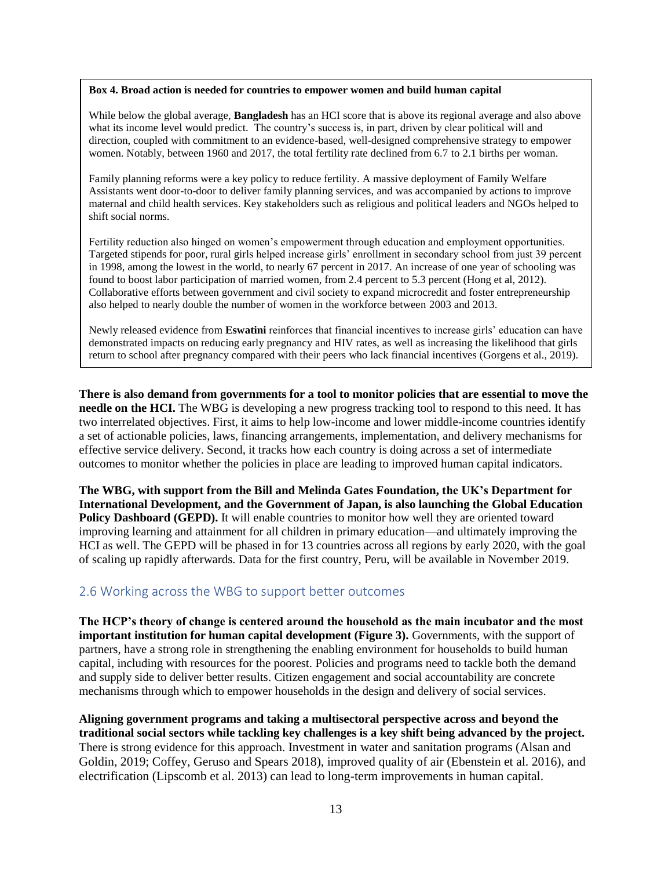#### **Box 4. Broad action is needed for countries to empower women and build human capital**

While below the global average, **Bangladesh** has an HCI score that is above its regional average and also above what its income level would predict. The country's success is, in part, driven by clear political will and direction, coupled with commitment to an evidence-based, well-designed comprehensive strategy to empower women. Notably, between 1960 and 2017, the total fertility rate declined from 6.7 to 2.1 births per woman.

Family planning reforms were a key policy to reduce fertility. A massive deployment of Family Welfare Assistants went door-to-door to deliver family planning services, and was accompanied by actions to improve maternal and child health services. Key stakeholders such as religious and political leaders and NGOs helped to shift social norms.

Fertility reduction also hinged on women's empowerment through education and employment opportunities. Targeted stipends for poor, rural girls helped increase girls' enrollment in secondary school from just 39 percent in 1998, among the lowest in the world, to nearly 67 percent in 2017. An increase of one year of schooling was found to boost labor participation of married women, from 2.4 percent to 5.3 percent (Hong et al, 2012). Collaborative efforts between government and civil society to expand microcredit and foster entrepreneurship also helped to nearly double the number of women in the workforce between 2003 and 2013.

Newly released evidence from **Eswatini** reinforces that financial incentives to increase girls' education can have demonstrated impacts on reducing early pregnancy and HIV rates, as well as increasing the likelihood that girls return to school after pregnancy compared with their peers who lack financial incentives (Gorgens et al., 2019).

**There is also demand from governments for a tool to monitor policies that are essential to move the needle on the HCI.** The WBG is developing a new progress tracking tool to respond to this need. It has two interrelated objectives. First, it aims to help low-income and lower middle-income countries identify a set of actionable policies, laws, financing arrangements, implementation, and delivery mechanisms for effective service delivery. Second, it tracks how each country is doing across a set of intermediate outcomes to monitor whether the policies in place are leading to improved human capital indicators.

**The WBG, with support from the Bill and Melinda Gates Foundation, the UK's Department for International Development, and the Government of Japan, is also launching the Global Education Policy Dashboard (GEPD).** It will enable countries to monitor how well they are oriented toward improving learning and attainment for all children in primary education—and ultimately improving the HCI as well. The GEPD will be phased in for 13 countries across all regions by early 2020, with the goal of scaling up rapidly afterwards. Data for the first country, Peru, will be available in November 2019.

#### <span id="page-15-0"></span>2.6 Working across the WBG to support better outcomes

**The HCP's theory of change is centered around the household as the main incubator and the most important institution for human capital development (Figure 3).** Governments, with the support of partners, have a strong role in strengthening the enabling environment for households to build human capital, including with resources for the poorest. Policies and programs need to tackle both the demand and supply side to deliver better results. Citizen engagement and social accountability are concrete mechanisms through which to empower households in the design and delivery of social services.

**Aligning government programs and taking a multisectoral perspective across and beyond the traditional social sectors while tackling key challenges is a key shift being advanced by the project.** There is strong evidence for this approach. Investment in water and sanitation programs (Alsan and Goldin, 2019; Coffey, Geruso and Spears 2018), improved quality of air (Ebenstein et al. 2016), and electrification (Lipscomb et al. 2013) can lead to long-term improvements in human capital.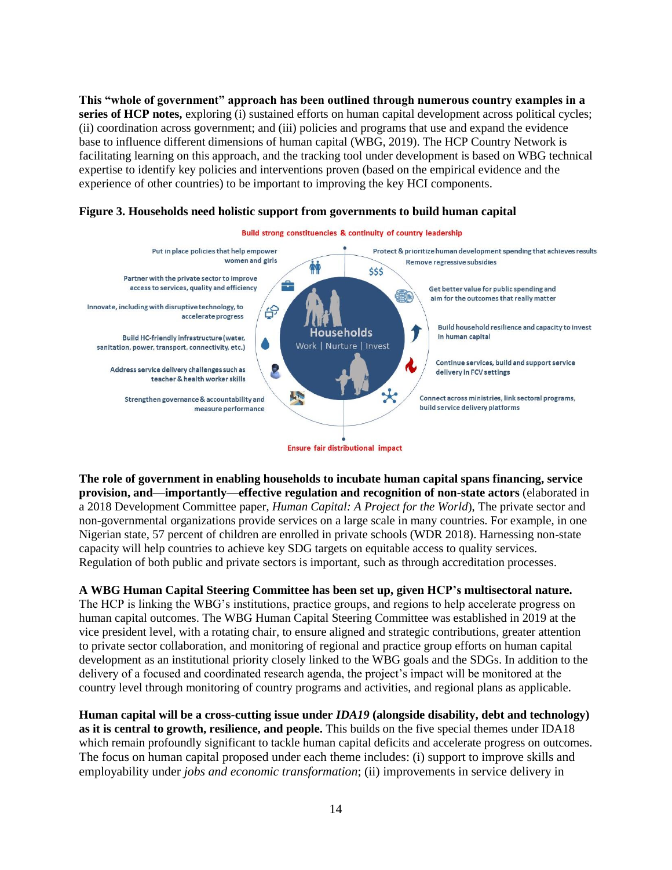**This "whole of government" approach has been outlined through numerous country examples in a series of HCP notes,** exploring (i) sustained efforts on human capital development across political cycles; (ii) coordination across government; and (iii) policies and programs that use and expand the evidence base to influence different dimensions of human capital (WBG, 2019). The HCP Country Network is facilitating learning on this approach, and the tracking tool under development is based on WBG technical expertise to identify key policies and interventions proven (based on the empirical evidence and the experience of other countries) to be important to improving the key HCI components.



#### **Figure 3. Households need holistic support from governments to build human capital**

**The role of government in enabling households to incubate human capital spans financing, service provision, and—importantly—effective regulation and recognition of non-state actors** (elaborated in a 2018 Development Committee paper, *Human Capital: A Project for the World*), The private sector and non-governmental organizations provide services on a large scale in many countries. For example, in one Nigerian state, 57 percent of children are enrolled in private schools (WDR 2018). Harnessing non-state capacity will help countries to achieve key SDG targets on equitable access to quality services. Regulation of both public and private sectors is important, such as through accreditation processes.

## **A WBG Human Capital Steering Committee has been set up, given HCP's multisectoral nature.**

The HCP is linking the WBG's institutions, practice groups, and regions to help accelerate progress on human capital outcomes. The WBG Human Capital Steering Committee was established in 2019 at the vice president level, with a rotating chair, to ensure aligned and strategic contributions, greater attention to private sector collaboration, and monitoring of regional and practice group efforts on human capital development as an institutional priority closely linked to the WBG goals and the SDGs. In addition to the delivery of a focused and coordinated research agenda, the project's impact will be monitored at the country level through monitoring of country programs and activities, and regional plans as applicable.

**Human capital will be a cross-cutting issue under** *IDA19* **(alongside disability, debt and technology) as it is central to growth, resilience, and people.** This builds on the five special themes under IDA18 which remain profoundly significant to tackle human capital deficits and accelerate progress on outcomes. The focus on human capital proposed under each theme includes: (i) support to improve skills and employability under *jobs and economic transformation*; (ii) improvements in service delivery in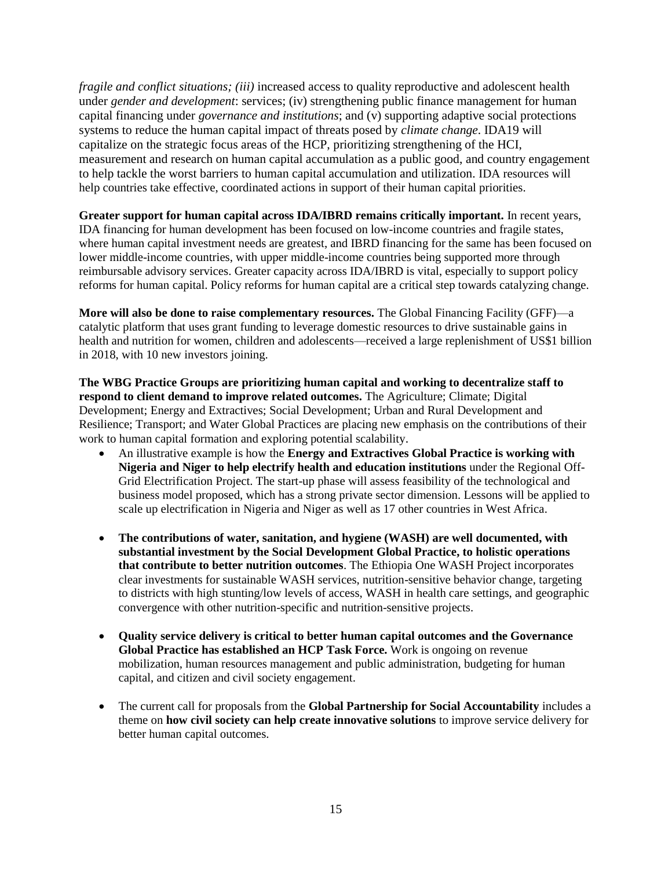*fragile and conflict situations; (iii)* increased access to quality reproductive and adolescent health under *gender and development*: services; (iv) strengthening public finance management for human capital financing under *governance and institutions*; and (v) supporting adaptive social protections systems to reduce the human capital impact of threats posed by *climate change*. IDA19 will capitalize on the strategic focus areas of the HCP, prioritizing strengthening of the HCI, measurement and research on human capital accumulation as a public good, and country engagement to help tackle the worst barriers to human capital accumulation and utilization. IDA resources will help countries take effective, coordinated actions in support of their human capital priorities.

**Greater support for human capital across IDA/IBRD remains critically important.** In recent years, IDA financing for human development has been focused on low-income countries and fragile states, where human capital investment needs are greatest, and IBRD financing for the same has been focused on lower middle-income countries, with upper middle-income countries being supported more through reimbursable advisory services. Greater capacity across IDA/IBRD is vital, especially to support policy reforms for human capital. Policy reforms for human capital are a critical step towards catalyzing change.

**More will also be done to raise complementary resources.** The Global Financing Facility (GFF)—a catalytic platform that uses grant funding to leverage domestic resources to drive sustainable gains in health and nutrition for women, children and adolescents—received a large replenishment of US\$1 billion in 2018, with 10 new investors joining.

**The WBG Practice Groups are prioritizing human capital and working to decentralize staff to respond to client demand to improve related outcomes.** The Agriculture; Climate; Digital Development; Energy and Extractives; Social Development; Urban and Rural Development and Resilience; Transport; and Water Global Practices are placing new emphasis on the contributions of their work to human capital formation and exploring potential scalability.

- An illustrative example is how the **Energy and Extractives Global Practice is working with Nigeria and Niger to help electrify health and education institutions** under the Regional Off-Grid Electrification Project. The start-up phase will assess feasibility of the technological and business model proposed, which has a strong private sector dimension. Lessons will be applied to scale up electrification in Nigeria and Niger as well as 17 other countries in West Africa.
- **The contributions of water, sanitation, and hygiene (WASH) are well documented, with substantial investment by the Social Development Global Practice, to holistic operations that contribute to better nutrition outcomes**. The Ethiopia One WASH Project incorporates clear investments for sustainable WASH services, nutrition-sensitive behavior change, targeting to districts with high stunting/low levels of access, WASH in health care settings, and geographic convergence with other nutrition-specific and nutrition-sensitive projects.
- **Quality service delivery is critical to better human capital outcomes and the Governance Global Practice has established an HCP Task Force.** Work is ongoing on revenue mobilization, human resources management and public administration, budgeting for human capital, and citizen and civil society engagement.
- The current call for proposals from the **Global Partnership for Social Accountability** includes a theme on **how civil society can help create innovative solutions** to improve service delivery for better human capital outcomes.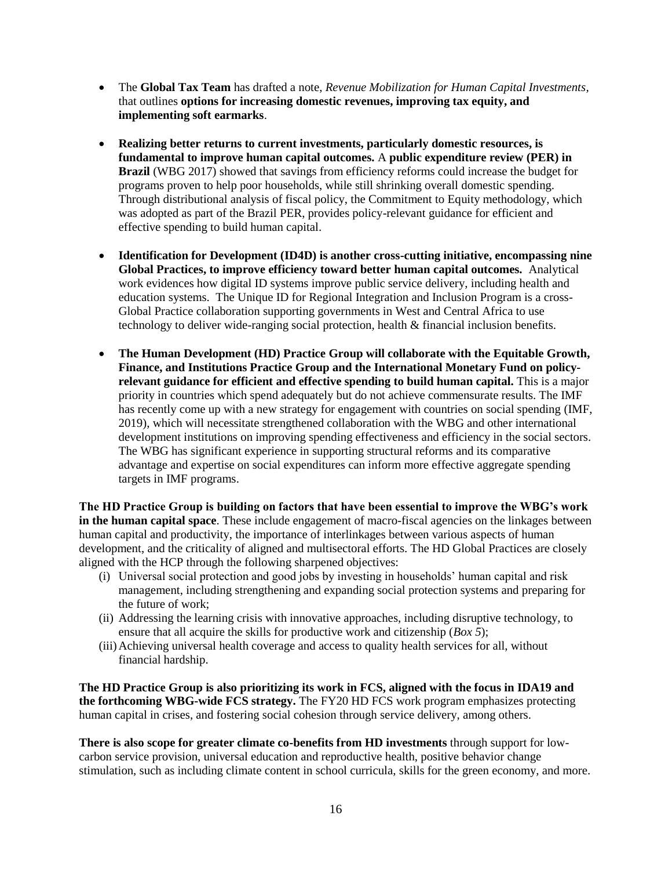- The **Global Tax Team** has drafted a note, *Revenue Mobilization for Human Capital Investments,* that outlines **options for increasing domestic revenues, improving tax equity, and implementing soft earmarks**.
- **Realizing better returns to current investments, particularly domestic resources, is fundamental to improve human capital outcomes.** A **public expenditure review (PER) in Brazil** (WBG 2017) showed that savings from efficiency reforms could increase the budget for programs proven to help poor households, while still shrinking overall domestic spending. Through distributional analysis of fiscal policy, the Commitment to Equity methodology, which was adopted as part of the Brazil PER, provides policy-relevant guidance for efficient and effective spending to build human capital.
- **Identification for Development (ID4D) is another cross-cutting initiative, encompassing nine Global Practices, to improve efficiency toward better human capital outcomes.** Analytical work evidences how digital ID systems improve public service delivery, including health and education systems. The Unique ID for Regional Integration and Inclusion Program is a cross-Global Practice collaboration supporting governments in West and Central Africa to use technology to deliver wide-ranging social protection, health & financial inclusion benefits.
- **The Human Development (HD) Practice Group will collaborate with the Equitable Growth, Finance, and Institutions Practice Group and the International Monetary Fund on policyrelevant guidance for efficient and effective spending to build human capital.** This is a major priority in countries which spend adequately but do not achieve commensurate results. The IMF has recently come up with a new strategy for engagement with countries on social spending (IMF, 2019), which will necessitate strengthened collaboration with the WBG and other international development institutions on improving spending effectiveness and efficiency in the social sectors. The WBG has significant experience in supporting structural reforms and its comparative advantage and expertise on social expenditures can inform more effective aggregate spending targets in IMF programs.

**The HD Practice Group is building on factors that have been essential to improve the WBG's work in the human capital space**. These include engagement of macro-fiscal agencies on the linkages between human capital and productivity, the importance of interlinkages between various aspects of human development, and the criticality of aligned and multisectoral efforts. The HD Global Practices are closely aligned with the HCP through the following sharpened objectives:

- (i) Universal social protection and good jobs by investing in households' human capital and risk management, including strengthening and expanding social protection systems and preparing for the future of work;
- (ii) Addressing the learning crisis with innovative approaches, including disruptive technology, to ensure that all acquire the skills for productive work and citizenship (*Box 5*);
- (iii)Achieving universal health coverage and access to quality health services for all, without financial hardship.

**The HD Practice Group is also prioritizing its work in FCS, aligned with the focus in IDA19 and the forthcoming WBG-wide FCS strategy.** The FY20 HD FCS work program emphasizes protecting human capital in crises, and fostering social cohesion through service delivery, among others.

**There is also scope for greater climate co-benefits from HD investments** through support for lowcarbon service provision, universal education and reproductive health, positive behavior change stimulation, such as including climate content in school curricula, skills for the green economy, and more.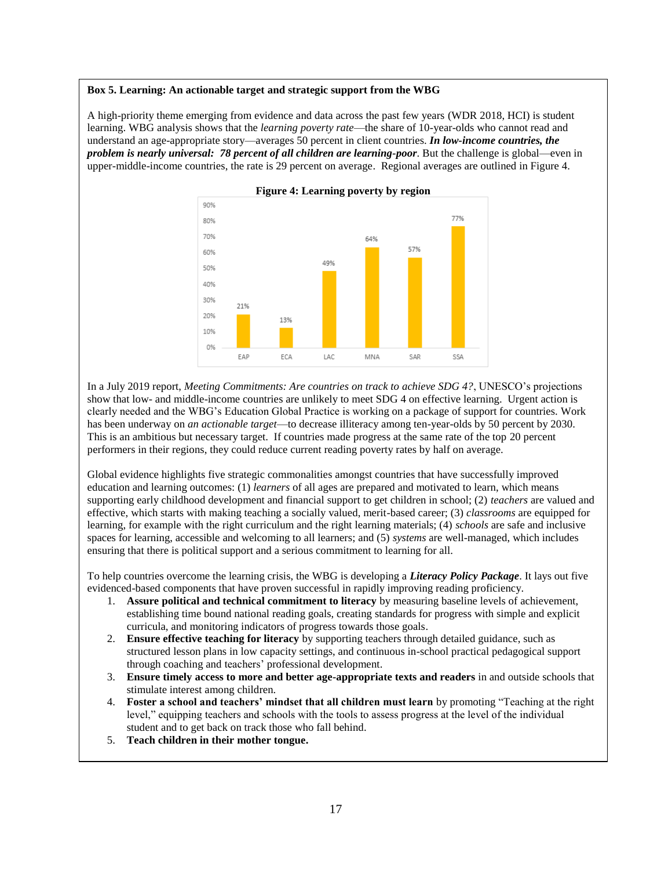#### **Box 5. Learning: An actionable target and strategic support from the WBG**

A high-priority theme emerging from evidence and data across the past few years (WDR 2018, HCI) is student learning. WBG analysis shows that the *learning poverty rate*—the share of 10-year-olds who cannot read and understand an age-appropriate story—averages 50 percent in client countries. *In low-income countries, the problem is nearly universal: 78 percent of all children are learning-poor*. But the challenge is global—even in upper-middle-income countries, the rate is 29 percent on average. Regional averages are outlined in Figure 4.



In a July 2019 report, *Meeting Commitments: Are countries on track to achieve SDG 4?*, UNESCO's projections show that low- and middle-income countries are unlikely to meet SDG 4 on effective learning. Urgent action is clearly needed and the WBG's Education Global Practice is working on a package of support for countries. Work has been underway on *an actionable target*—to decrease illiteracy among ten-year-olds by 50 percent by 2030. This is an ambitious but necessary target. If countries made progress at the same rate of the top 20 percent performers in their regions, they could reduce current reading poverty rates by half on average.

Global evidence highlights five strategic commonalities amongst countries that have successfully improved education and learning outcomes: (1) *learners* of all ages are prepared and motivated to learn, which means supporting early childhood development and financial support to get children in school; (2) *teachers* are valued and effective, which starts with making teaching a socially valued, merit-based career; (3) *classrooms* are equipped for learning, for example with the right curriculum and the right learning materials; (4) *schools* are safe and inclusive spaces for learning, accessible and welcoming to all learners; and (5) *systems* are well-managed, which includes ensuring that there is political support and a serious commitment to learning for all.

To help countries overcome the learning crisis, the WBG is developing a *Literacy Policy Package*. It lays out five evidenced-based components that have proven successful in rapidly improving reading proficiency.

- 1. **Assure political and technical commitment to literacy** by measuring baseline levels of achievement, establishing time bound national reading goals, creating standards for progress with simple and explicit curricula, and monitoring indicators of progress towards those goals.
- 2. **Ensure effective teaching for literacy** by supporting teachers through detailed guidance, such as structured lesson plans in low capacity settings, and continuous in-school practical pedagogical support through coaching and teachers' professional development.
- 3. **Ensure timely access to more and better age-appropriate texts and readers** in and outside schools that stimulate interest among children.
- 4. **Foster a school and teachers' mindset that all children must learn** by promoting "Teaching at the right level," equipping teachers and schools with the tools to assess progress at the level of the individual student and to get back on track those who fall behind.
- 5. **Teach children in their mother tongue.**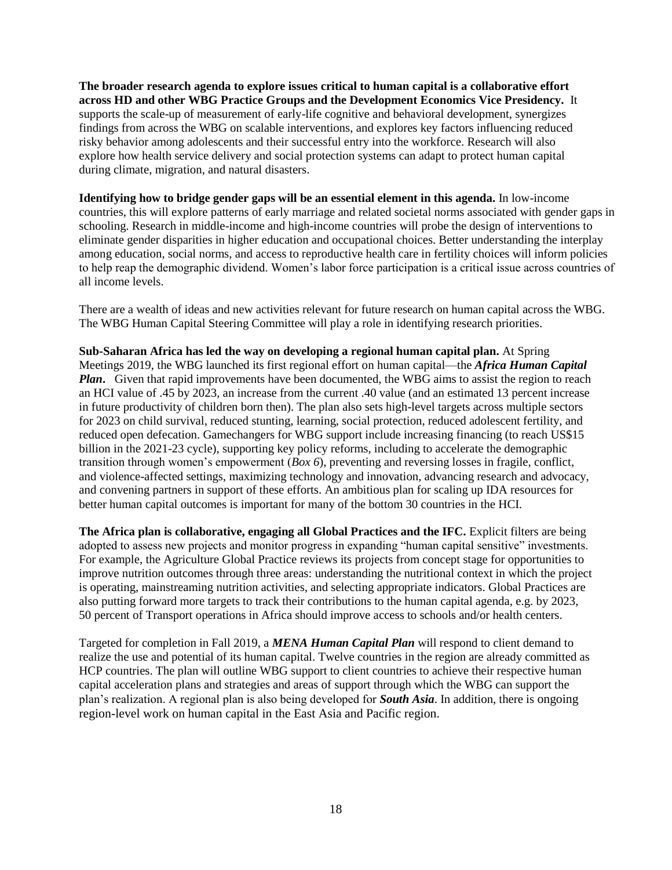**The broader research agenda to explore issues critical to human capital is a collaborative effort across HD and other WBG Practice Groups and the Development Economics Vice Presidency.** It supports the scale-up of measurement of early-life cognitive and behavioral development, synergizes findings from across the WBG on scalable interventions, and explores key factors influencing reduced risky behavior among adolescents and their successful entry into the workforce. Research will also explore how health service delivery and social protection systems can adapt to protect human capital during climate, migration, and natural disasters.

**Identifying how to bridge gender gaps will be an essential element in this agenda.** In low-income countries, this will explore patterns of early marriage and related societal norms associated with gender gaps in schooling. Research in middle-income and high-income countries will probe the design of interventions to eliminate gender disparities in higher education and occupational choices. Better understanding the interplay among education, social norms, and access to reproductive health care in fertility choices will inform policies to help reap the demographic dividend. Women's labor force participation is a critical issue across countries of all income levels.

There are a wealth of ideas and new activities relevant for future research on human capital across the WBG. The WBG Human Capital Steering Committee will play a role in identifying research priorities.

**Sub-Saharan Africa has led the way on developing a regional human capital plan.** At Spring Meetings 2019, the WBG launched its first regional effort on human capital—the *Africa Human Capital Plan*. Given that rapid improvements have been documented, the WBG aims to assist the region to reach an HCI value of .45 by 2023, an increase from the current .40 value (and an estimated 13 percent increase in future productivity of children born then). The plan also sets high-level targets across multiple sectors for 2023 on child survival, reduced stunting, learning, social protection, reduced adolescent fertility, and reduced open defecation. Gamechangers for WBG support include increasing financing (to reach US\$15 billion in the 2021-23 cycle), supporting key policy reforms, including to accelerate the demographic transition through women's empowerment (*Box 6*), preventing and reversing losses in fragile, conflict, and violence-affected settings, maximizing technology and innovation, advancing research and advocacy, and convening partners in support of these efforts. An ambitious plan for scaling up IDA resources for better human capital outcomes is important for many of the bottom 30 countries in the HCI.

**The Africa plan is collaborative, engaging all Global Practices and the IFC.** Explicit filters are being adopted to assess new projects and monitor progress in expanding "human capital sensitive" investments. For example, the Agriculture Global Practice reviews its projects from concept stage for opportunities to improve nutrition outcomes through three areas: understanding the nutritional context in which the project is operating, mainstreaming nutrition activities, and selecting appropriate indicators. Global Practices are also putting forward more targets to track their contributions to the human capital agenda, e.g. by 2023, 50 percent of Transport operations in Africa should improve access to schools and/or health centers.

Targeted for completion in Fall 2019, a *MENA Human Capital Plan* will respond to client demand to realize the use and potential of its human capital. Twelve countries in the region are already committed as HCP countries. The plan will outline WBG support to client countries to achieve their respective human capital acceleration plans and strategies and areas of support through which the WBG can support the plan's realization. A regional plan is also being developed for *South Asia*. In addition, there is ongoing region-level work on human capital in the East Asia and Pacific region.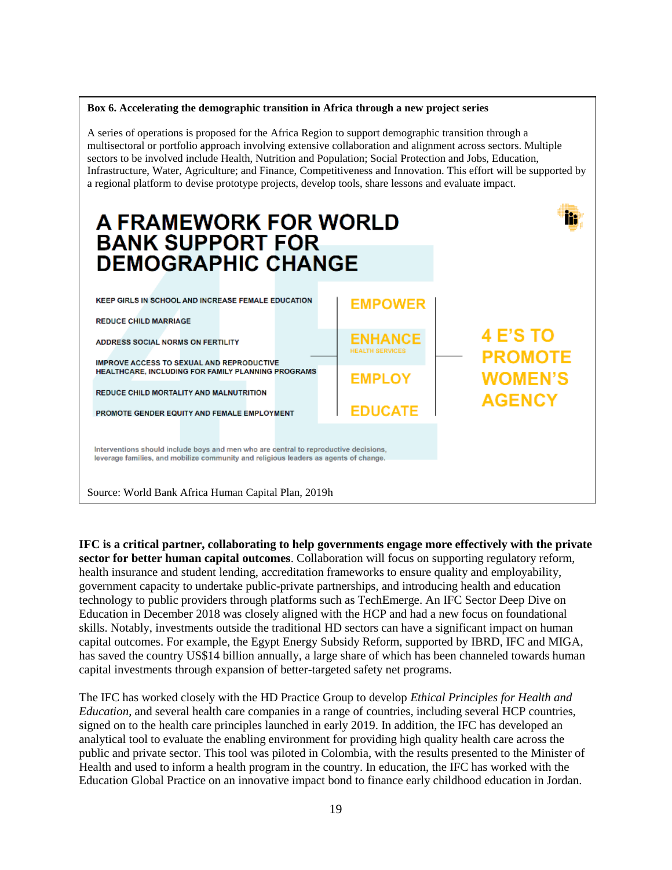#### **Box 6. Accelerating the demographic transition in Africa through a new project series**

A series of operations is proposed for the Africa Region to support demographic transition through a multisectoral or portfolio approach involving extensive collaboration and alignment across sectors. Multiple sectors to be involved include Health, Nutrition and Population; Social Protection and Jobs, Education, Infrastructure, Water, Agriculture; and Finance, Competitiveness and Innovation. This effort will be supported by a regional platform to devise prototype projects, develop tools, share lessons and evaluate impact.



**IFC is a critical partner, collaborating to help governments engage more effectively with the private sector for better human capital outcomes**. Collaboration will focus on supporting regulatory reform, health insurance and student lending, accreditation frameworks to ensure quality and employability, government capacity to undertake public-private partnerships, and introducing health and education technology to public providers through platforms such as TechEmerge. An IFC Sector Deep Dive on Education in December 2018 was closely aligned with the HCP and had a new focus on foundational skills. Notably, investments outside the traditional HD sectors can have a significant impact on human capital outcomes. For example, the Egypt Energy Subsidy Reform, supported by IBRD, IFC and MIGA, has saved the country US\$14 billion annually, a large share of which has been channeled towards human capital investments through expansion of better-targeted safety net programs.

The IFC has worked closely with the HD Practice Group to develop *Ethical Principles for Health and Education*, and several health care companies in a range of countries, including several HCP countries, signed on to the health care principles launched in early 2019. In addition, the IFC has developed an analytical tool to evaluate the enabling environment for providing high quality health care across the public and private sector. This tool was piloted in Colombia, with the results presented to the Minister of Health and used to inform a health program in the country. In education, the IFC has worked with the Education Global Practice on an innovative impact bond to finance early childhood education in Jordan.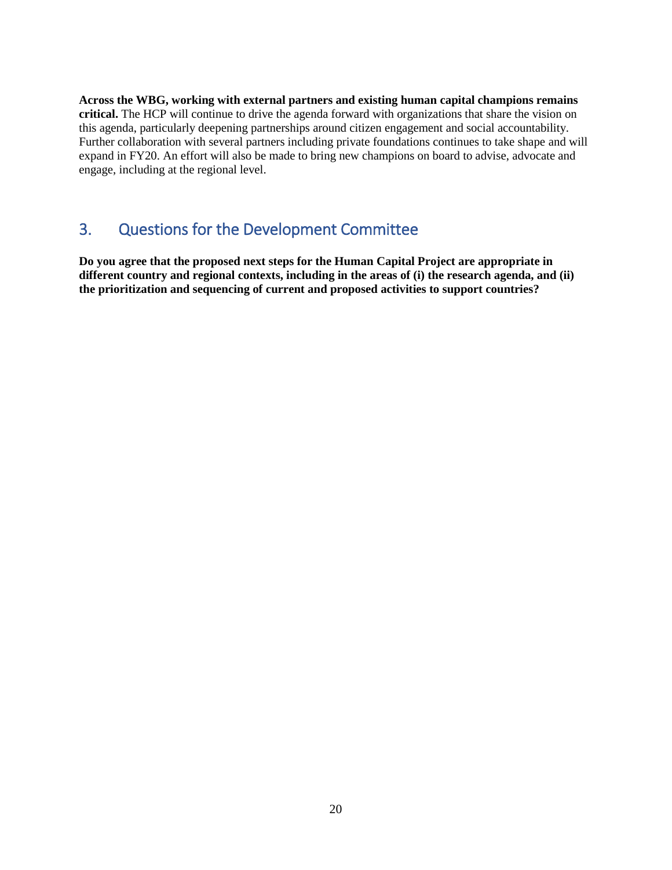**Across the WBG, working with external partners and existing human capital champions remains critical.** The HCP will continue to drive the agenda forward with organizations that share the vision on this agenda, particularly deepening partnerships around citizen engagement and social accountability. Further collaboration with several partners including private foundations continues to take shape and will expand in FY20. An effort will also be made to bring new champions on board to advise, advocate and engage, including at the regional level.

# <span id="page-22-0"></span>3. Questions for the Development Committee

**Do you agree that the proposed next steps for the Human Capital Project are appropriate in different country and regional contexts, including in the areas of (i) the research agenda, and (ii) the prioritization and sequencing of current and proposed activities to support countries?**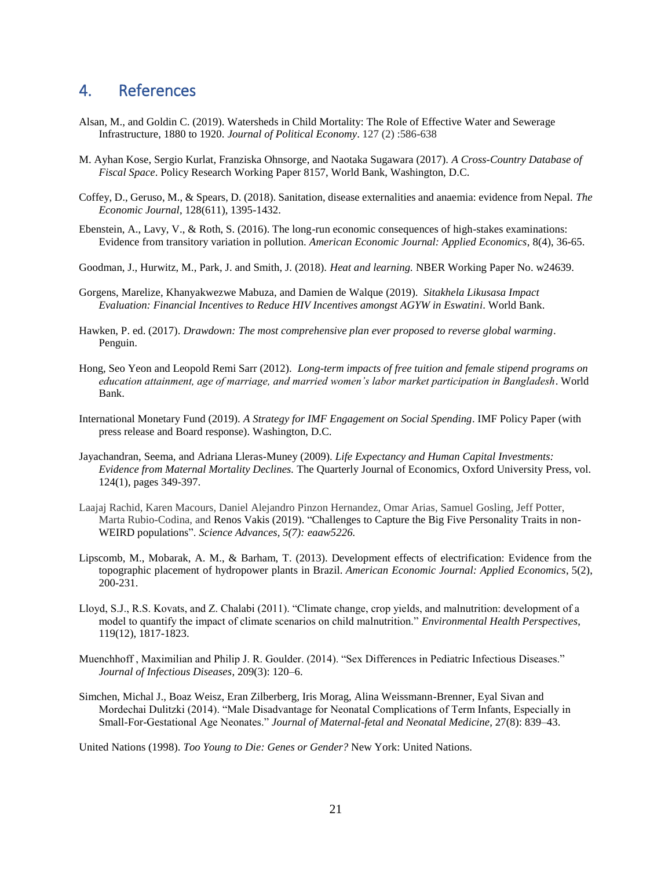# <span id="page-23-0"></span>4. References

- Alsan, M., and Goldin C. (2019). Watersheds in Child Mortality: The Role of Effective Water and Sewerage Infrastructure, 1880 to 1920. *Journal of Political Economy*. 127 (2) :586-638
- M. Ayhan Kose, Sergio Kurlat, Franziska Ohnsorge, and Naotaka Sugawara (2017). *[A Cross-Country Database of](http://documents.worldbank.org/curated/en/601211501678994591/pdf/WPS8157.pdf)  [Fiscal Space](http://documents.worldbank.org/curated/en/601211501678994591/pdf/WPS8157.pdf)*. Policy Research Working Paper 8157, World Bank, Washington, D.C.
- Coffey, D., Geruso, M., & Spears, D. (2018). Sanitation, disease externalities and anaemia: evidence from Nepal. *The Economic Journal*, 128(611), 1395-1432.
- Ebenstein, A., Lavy, V., & Roth, S. (2016). The long-run economic consequences of high-stakes examinations: Evidence from transitory variation in pollution. *American Economic Journal: Applied Economics*, 8(4), 36-65.
- Goodman, J., Hurwitz, M., Park, J. and Smith, J. (2018). *Heat and learning.* NBER Working Paper No. w24639.
- Gorgens, Marelize, Khanyakwezwe Mabuza, and Damien de Walque (2019). *Sitakhela Likusasa Impact Evaluation: Financial Incentives to Reduce HIV Incentives amongst AGYW in Eswatini*. World Bank.
- Hawken, P. ed. (2017). *Drawdown: The most comprehensive plan ever proposed to reverse global warming*. Penguin.
- Hong, Seo Yeon and Leopold Remi Sarr (2012). *Long-term impacts of free tuition and female stipend programs on education attainment, age of marriage, and married women's labor market participation in Bangladesh*. World Bank.
- International Monetary Fund (2019). *A Strategy for IMF Engagement on Social Spending*. IMF Policy Paper (with press release and Board response). Washington, D.C.
- Jayachandran, Seema, and Adriana Lleras-Muney (2009). *Life Expectancy and Human Capital Investments: Evidence from Maternal Mortality Declines.* The Quarterly Journal of Economics, Oxford University Press, vol. 124(1), pages 349-397.
- Laajaj Rachid, Karen Macours, Daniel Alejandro Pinzon Hernandez, Omar Arias, Samuel Gosling, Jeff Potter, Marta Rubio-Codina, and Renos Vakis (2019). ["Challenges to Capture the Big Five Personality Traits in non-](https://advances.sciencemag.org/content/5/7/eaaw5226)[WEIRD populations"](https://advances.sciencemag.org/content/5/7/eaaw5226). *Science Advances, 5(7): eaaw5226.*
- Lipscomb, M., Mobarak, A. M., & Barham, T. (2013). Development effects of electrification: Evidence from the topographic placement of hydropower plants in Brazil. *American Economic Journal: Applied Economics*, 5(2), 200-231.
- Lloyd, S.J., R.S. Kovats, and Z. Chalabi (2011). "Climate change, crop yields, and malnutrition: development of a model to quantify the impact of climate scenarios on child malnutrition." *Environmental Health Perspectives*, 119(12), 1817-1823.
- Muenchhoff , Maximilian and Philip J. R. Goulder. (2014). "Sex Differences in Pediatric Infectious Diseases." *Journal of Infectious Diseases*, 209(3): 120–6.
- Simchen, Michal J., Boaz Weisz, Eran Zilberberg, Iris Morag, Alina Weissmann-Brenner, Eyal Sivan and Mordechai Dulitzki (2014). "Male Disadvantage for Neonatal Complications of Term Infants, Especially in Small-For-Gestational Age Neonates." *Journal of Maternal-fetal and Neonatal Medicine,* 27(8): 839–43.

United Nations (1998). *Too Young to Die: Genes or Gender?* New York: United Nations.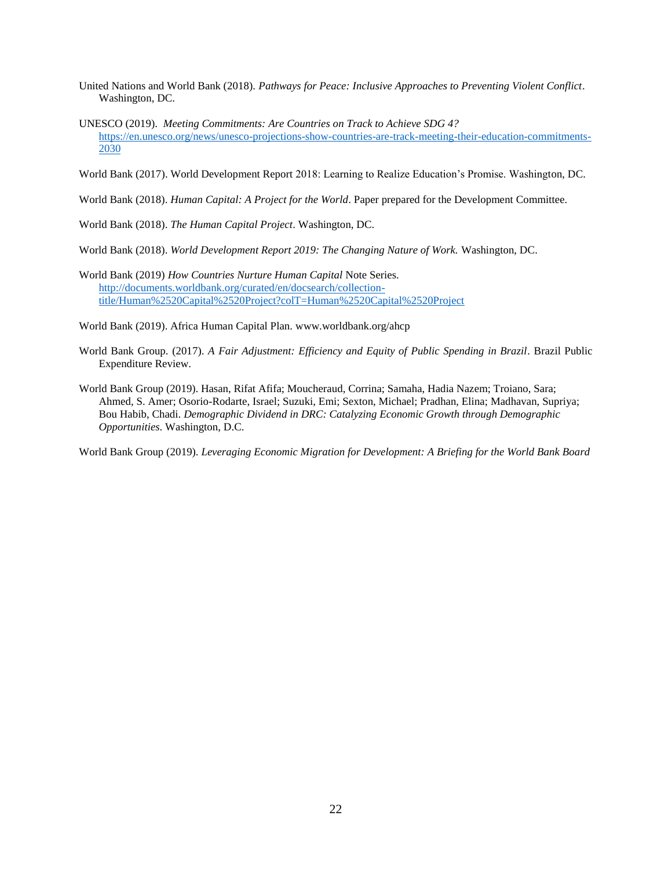- United Nations and World Bank (2018). *Pathways for Peace: Inclusive Approaches to Preventing Violent Conflict*. Washington, DC.
- UNESCO (2019). *Meeting Commitments: Are Countries on Track to Achieve SDG 4?* [https://en.unesco.org/news/unesco-projections-show-countries-are-track-meeting-their-education-commitments-](https://en.unesco.org/news/unesco-projections-show-countries-are-track-meeting-their-education-commitments-2030)[2030](https://en.unesco.org/news/unesco-projections-show-countries-are-track-meeting-their-education-commitments-2030)

World Bank (2017). World Development Report 2018: Learning to Realize Education's Promise. Washington, DC.

World Bank (2018). *Human Capital: A Project for the World*. Paper prepared for the Development Committee.

World Bank (2018). *The Human Capital Project*. Washington, DC.

World Bank (2018). *World Development Report 2019: The Changing Nature of Work.* Washington, DC.

World Bank (2019) *How Countries Nurture Human Capital* Note Series. [http://documents.worldbank.org/curated/en/docsearch/collection](http://documents.worldbank.org/curated/en/docsearch/collection-title/Human%2520Capital%2520Project?colT=Human%2520Capital%2520Project)[title/Human%2520Capital%2520Project?colT=Human%2520Capital%2520Project](http://documents.worldbank.org/curated/en/docsearch/collection-title/Human%2520Capital%2520Project?colT=Human%2520Capital%2520Project)

World Bank (2019). Africa Human Capital Plan. www.worldbank.org/ahcp

- World Bank Group. (2017). *A Fair Adjustment: Efficiency and Equity of Public Spending in Brazil*. Brazil Public Expenditure Review.
- World Bank Group (2019). Hasan, Rifat Afifa; Moucheraud, Corrina; Samaha, Hadia Nazem; Troiano, Sara; Ahmed, S. Amer; Osorio-Rodarte, Israel; Suzuki, Emi; Sexton, Michael; Pradhan, Elina; Madhavan, Supriya; Bou Habib, Chadi. *Demographic Dividend in DRC: Catalyzing Economic Growth through Demographic Opportunities*. Washington, D.C.

World Bank Group (2019). *Leveraging Economic Migration for Development: A Briefing for the World Bank Board*